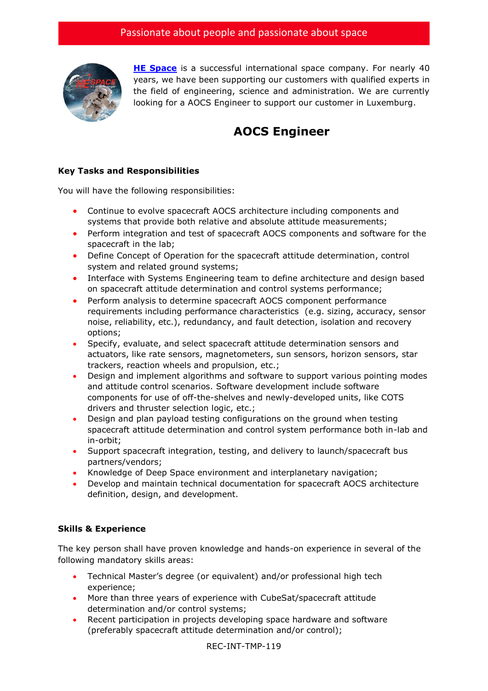

**[HE Space](http://www.hespace.com/)** is a successful international space company. For nearly 40 years, we have been supporting our customers with qualified experts in the field of engineering, science and administration. We are currently looking for a AOCS Engineer to support our customer in Luxemburg.

## **AOCS Engineer**

## **Key Tasks and Responsibilities**

You will have the following responsibilities:

- Continue to evolve spacecraft AOCS architecture including components and systems that provide both relative and absolute attitude measurements;
- Perform integration and test of spacecraft AOCS components and software for the spacecraft in the lab;
- Define Concept of Operation for the spacecraft attitude determination, control system and related ground systems;
- Interface with Systems Engineering team to define architecture and design based on spacecraft attitude determination and control systems performance;
- Perform analysis to determine spacecraft AOCS component performance requirements including performance characteristics (e.g. sizing, accuracy, sensor noise, reliability, etc.), redundancy, and fault detection, isolation and recovery options;
- Specify, evaluate, and select spacecraft attitude determination sensors and actuators, like rate sensors, magnetometers, sun sensors, horizon sensors, star trackers, reaction wheels and propulsion, etc.;
- Design and implement algorithms and software to support various pointing modes and attitude control scenarios. Software development include software components for use of off-the-shelves and newly-developed units, like COTS drivers and thruster selection logic, etc.;
- Design and plan payload testing configurations on the ground when testing spacecraft attitude determination and control system performance both in-lab and in-orbit;
- Support spacecraft integration, testing, and delivery to launch/spacecraft bus partners/vendors;
- Knowledge of Deep Space environment and interplanetary navigation;
- Develop and maintain technical documentation for spacecraft AOCS architecture definition, design, and development.

## **Skills & Experience**

The key person shall have proven knowledge and hands-on experience in several of the following mandatory skills areas:

- Technical Master's degree (or equivalent) and/or professional high tech experience;
- More than three years of experience with CubeSat/spacecraft attitude determination and/or control systems;
- Recent participation in projects developing space hardware and software (preferably spacecraft attitude determination and/or control);